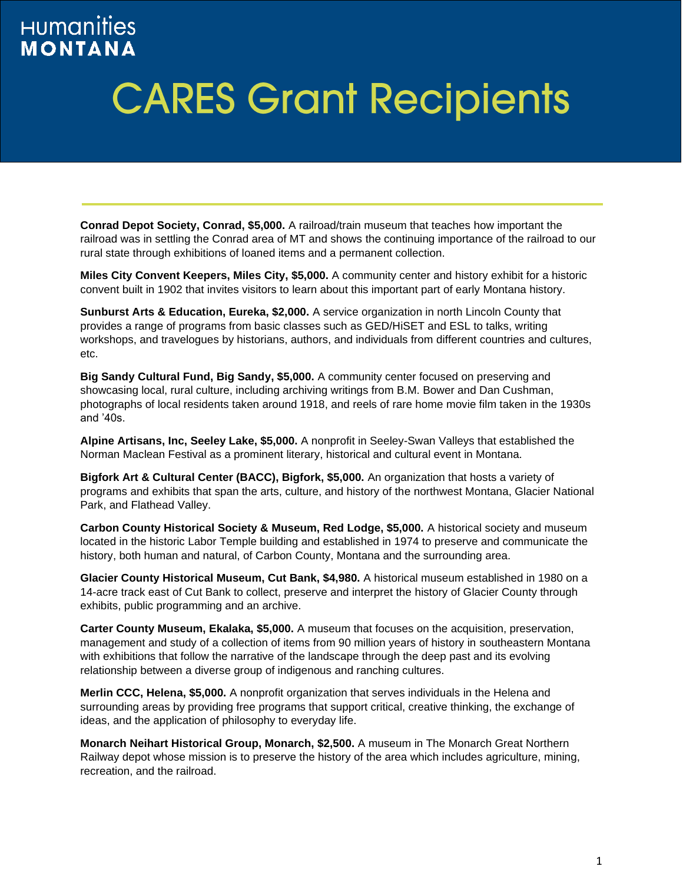## **HUMAnities MONTANA**

## **CARES Grant Recipients**

**Conrad Depot Society, Conrad, \$5,000.** A railroad/train museum that teaches how important the railroad was in settling the Conrad area of MT and shows the continuing importance of the railroad to our rural state through exhibitions of loaned items and a permanent collection.

**Miles City Convent Keepers, Miles City, \$5,000.** A community center and history exhibit for a historic convent built in 1902 that invites visitors to learn about this important part of early Montana history.

**Sunburst Arts & Education, Eureka, \$2,000.** A service organization in north Lincoln County that provides a range of programs from basic classes such as GED/HiSET and ESL to talks, writing workshops, and travelogues by historians, authors, and individuals from different countries and cultures, etc.

**Big Sandy Cultural Fund, Big Sandy, \$5,000.** A community center focused on preserving and showcasing local, rural culture, including archiving writings from B.M. Bower and Dan Cushman, photographs of local residents taken around 1918, and reels of rare home movie film taken in the 1930s and '40s.

**Alpine Artisans, Inc, Seeley Lake, \$5,000.** A nonprofit in Seeley-Swan Valleys that established the Norman Maclean Festival as a prominent literary, historical and cultural event in Montana.

**Bigfork Art & Cultural Center (BACC), Bigfork, \$5,000.** An organization that hosts a variety of programs and exhibits that span the arts, culture, and history of the northwest Montana, Glacier National Park, and Flathead Valley.

**Carbon County Historical Society & Museum, Red Lodge, \$5,000.** A historical society and museum located in the historic Labor Temple building and established in 1974 to preserve and communicate the history, both human and natural, of Carbon County, Montana and the surrounding area.

**Glacier County Historical Museum, Cut Bank, \$4,980.** A historical museum established in 1980 on a 14-acre track east of Cut Bank to collect, preserve and interpret the history of Glacier County through exhibits, public programming and an archive.

**Carter County Museum, Ekalaka, \$5,000.** A museum that focuses on the acquisition, preservation, management and study of a collection of items from 90 million years of history in southeastern Montana with exhibitions that follow the narrative of the landscape through the deep past and its evolving relationship between a diverse group of indigenous and ranching cultures.

**Merlin CCC, Helena, \$5,000.** A nonprofit organization that serves individuals in the Helena and surrounding areas by providing free programs that support critical, creative thinking, the exchange of ideas, and the application of philosophy to everyday life.

**Monarch Neihart Historical Group, Monarch, \$2,500.** A museum in The Monarch Great Northern Railway depot whose mission is to preserve the history of the area which includes agriculture, mining, recreation, and the railroad.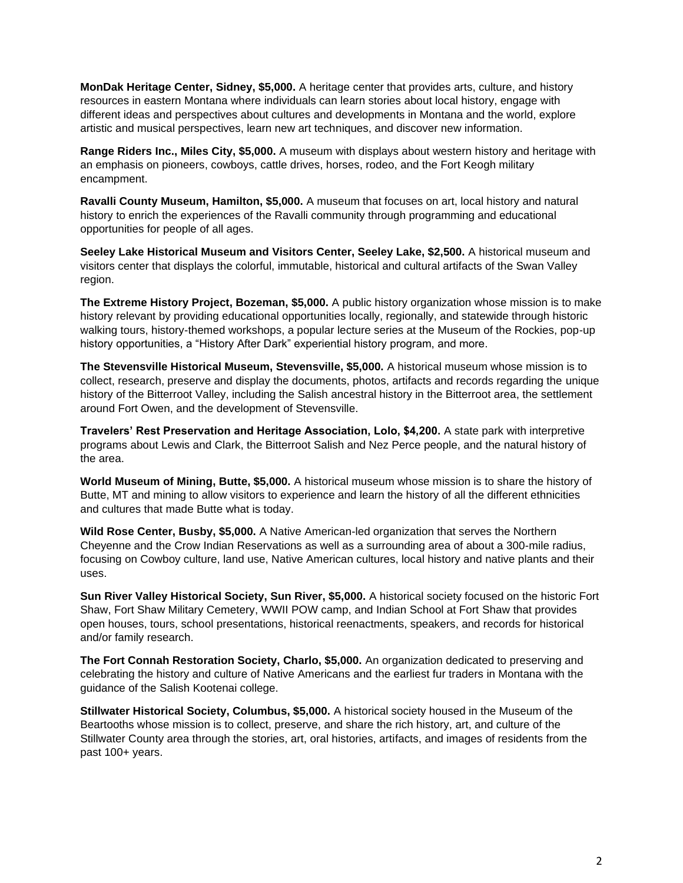**MonDak Heritage Center, Sidney, \$5,000.** A heritage center that provides arts, culture, and history resources in eastern Montana where individuals can learn stories about local history, engage with different ideas and perspectives about cultures and developments in Montana and the world, explore artistic and musical perspectives, learn new art techniques, and discover new information.

**Range Riders Inc., Miles City, \$5,000.** A museum with displays about western history and heritage with an emphasis on pioneers, cowboys, cattle drives, horses, rodeo, and the Fort Keogh military encampment.

**Ravalli County Museum, Hamilton, \$5,000.** A museum that focuses on art, local history and natural history to enrich the experiences of the Ravalli community through programming and educational opportunities for people of all ages.

**Seeley Lake Historical Museum and Visitors Center, Seeley Lake, \$2,500.** A historical museum and visitors center that displays the colorful, immutable, historical and cultural artifacts of the Swan Valley region.

**The Extreme History Project, Bozeman, \$5,000.** A public history organization whose mission is to make history relevant by providing educational opportunities locally, regionally, and statewide through historic walking tours, history-themed workshops, a popular lecture series at the Museum of the Rockies, pop-up history opportunities, a "History After Dark" experiential history program, and more.

**The Stevensville Historical Museum, Stevensville, \$5,000.** A historical museum whose mission is to collect, research, preserve and display the documents, photos, artifacts and records regarding the unique history of the Bitterroot Valley, including the Salish ancestral history in the Bitterroot area, the settlement around Fort Owen, and the development of Stevensville.

**Travelers' Rest Preservation and Heritage Association, Lolo, \$4,200.** A state park with interpretive programs about Lewis and Clark, the Bitterroot Salish and Nez Perce people, and the natural history of the area.

**World Museum of Mining, Butte, \$5,000.** A historical museum whose mission is to share the history of Butte, MT and mining to allow visitors to experience and learn the history of all the different ethnicities and cultures that made Butte what is today.

**Wild Rose Center, Busby, \$5,000.** A Native American-led organization that serves the Northern Cheyenne and the Crow Indian Reservations as well as a surrounding area of about a 300-mile radius, focusing on Cowboy culture, land use, Native American cultures, local history and native plants and their uses.

**Sun River Valley Historical Society, Sun River, \$5,000.** A historical society focused on the historic Fort Shaw, Fort Shaw Military Cemetery, WWII POW camp, and Indian School at Fort Shaw that provides open houses, tours, school presentations, historical reenactments, speakers, and records for historical and/or family research.

**The Fort Connah Restoration Society, Charlo, \$5,000.** An organization dedicated to preserving and celebrating the history and culture of Native Americans and the earliest fur traders in Montana with the guidance of the Salish Kootenai college.

**Stillwater Historical Society, Columbus, \$5,000.** A historical society housed in the Museum of the Beartooths whose mission is to collect, preserve, and share the rich history, art, and culture of the Stillwater County area through the stories, art, oral histories, artifacts, and images of residents from the past 100+ years.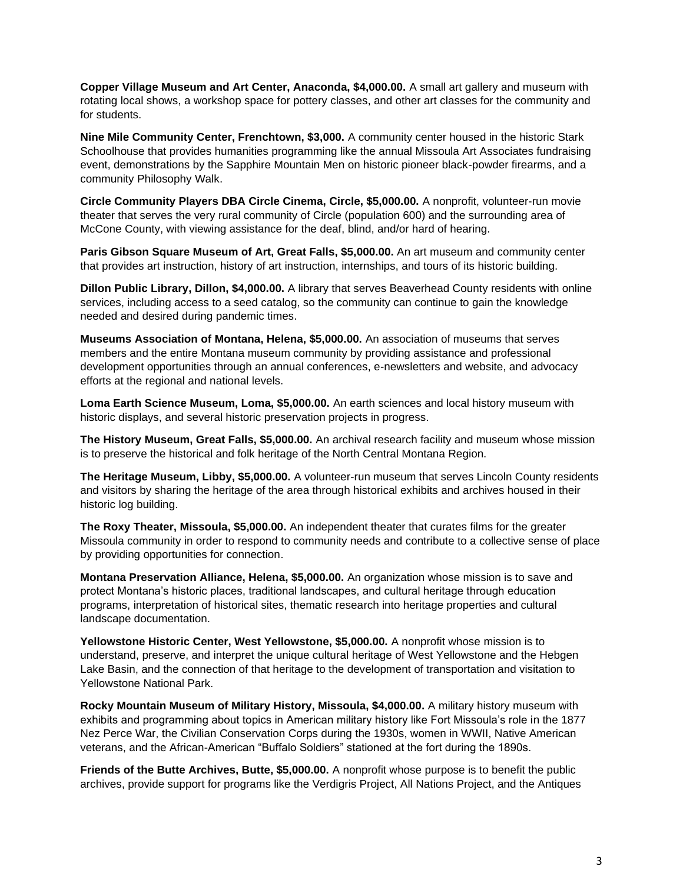**Copper Village Museum and Art Center, Anaconda, \$4,000.00.** A small art gallery and museum with rotating local shows, a workshop space for pottery classes, and other art classes for the community and for students.

**Nine Mile Community Center, Frenchtown, \$3,000.** A community center housed in the historic Stark Schoolhouse that provides humanities programming like the annual Missoula Art Associates fundraising event, demonstrations by the Sapphire Mountain Men on historic pioneer black-powder firearms, and a community Philosophy Walk.

**Circle Community Players DBA Circle Cinema, Circle, \$5,000.00.** A nonprofit, volunteer-run movie theater that serves the very rural community of Circle (population 600) and the surrounding area of McCone County, with viewing assistance for the deaf, blind, and/or hard of hearing.

**Paris Gibson Square Museum of Art, Great Falls, \$5,000.00.** An art museum and community center that provides art instruction, history of art instruction, internships, and tours of its historic building.

**Dillon Public Library, Dillon, \$4,000.00.** A library that serves Beaverhead County residents with online services, including access to a seed catalog, so the community can continue to gain the knowledge needed and desired during pandemic times.

**Museums Association of Montana, Helena, \$5,000.00.** An association of museums that serves members and the entire Montana museum community by providing assistance and professional development opportunities through an annual conferences, e-newsletters and website, and advocacy efforts at the regional and national levels.

**Loma Earth Science Museum, Loma, \$5,000.00.** An earth sciences and local history museum with historic displays, and several historic preservation projects in progress.

**The History Museum, Great Falls, \$5,000.00.** An archival research facility and museum whose mission is to preserve the historical and folk heritage of the North Central Montana Region.

**The Heritage Museum, Libby, \$5,000.00.** A volunteer-run museum that serves Lincoln County residents and visitors by sharing the heritage of the area through historical exhibits and archives housed in their historic log building.

**The Roxy Theater, Missoula, \$5,000.00.** An independent theater that curates films for the greater Missoula community in order to respond to community needs and contribute to a collective sense of place by providing opportunities for connection.

**Montana Preservation Alliance, Helena, \$5,000.00.** An organization whose mission is to save and protect Montana's historic places, traditional landscapes, and cultural heritage through education programs, interpretation of historical sites, thematic research into heritage properties and cultural landscape documentation.

**Yellowstone Historic Center, West Yellowstone, \$5,000.00.** A nonprofit whose mission is to understand, preserve, and interpret the unique cultural heritage of West Yellowstone and the Hebgen Lake Basin, and the connection of that heritage to the development of transportation and visitation to Yellowstone National Park.

**Rocky Mountain Museum of Military History, Missoula, \$4,000.00.** A military history museum with exhibits and programming about topics in American military history like Fort Missoula's role in the 1877 Nez Perce War, the Civilian Conservation Corps during the 1930s, women in WWII, Native American veterans, and the African-American "Buffalo Soldiers" stationed at the fort during the 1890s.

**Friends of the Butte Archives, Butte, \$5,000.00.** A nonprofit whose purpose is to benefit the public archives, provide support for programs like the Verdigris Project, All Nations Project, and the Antiques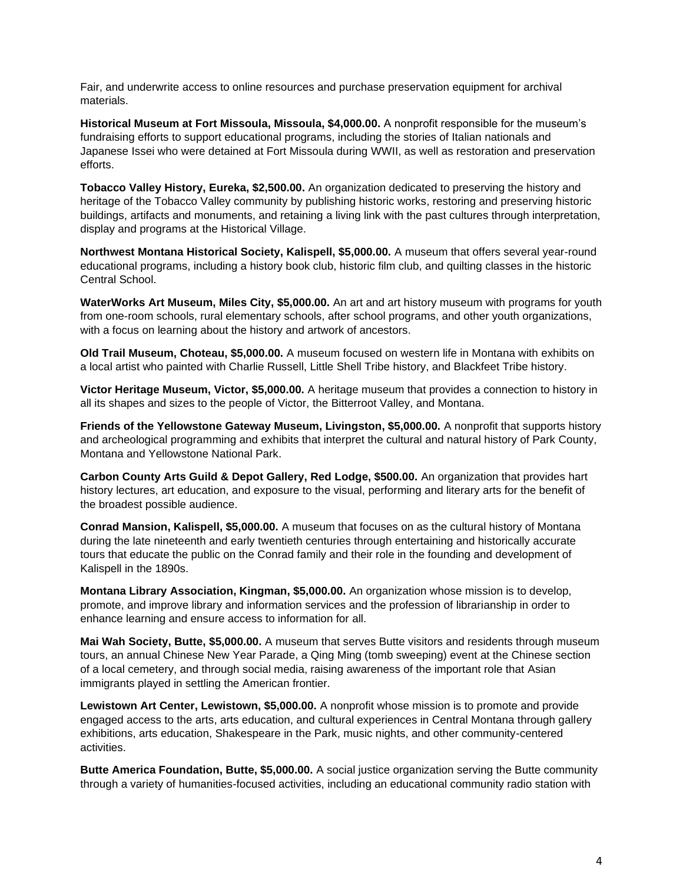Fair, and underwrite access to online resources and purchase preservation equipment for archival materials.

**Historical Museum at Fort Missoula, Missoula, \$4,000.00.** A nonprofit responsible for the museum's fundraising efforts to support educational programs, including the stories of Italian nationals and Japanese Issei who were detained at Fort Missoula during WWII, as well as restoration and preservation efforts.

**Tobacco Valley History, Eureka, \$2,500.00.** An organization dedicated to preserving the history and heritage of the Tobacco Valley community by publishing historic works, restoring and preserving historic buildings, artifacts and monuments, and retaining a living link with the past cultures through interpretation, display and programs at the Historical Village.

**Northwest Montana Historical Society, Kalispell, \$5,000.00.** A museum that offers several year-round educational programs, including a history book club, historic film club, and quilting classes in the historic Central School.

**WaterWorks Art Museum, Miles City, \$5,000.00.** An art and art history museum with programs for youth from one-room schools, rural elementary schools, after school programs, and other youth organizations, with a focus on learning about the history and artwork of ancestors.

**Old Trail Museum, Choteau, \$5,000.00.** A museum focused on western life in Montana with exhibits on a local artist who painted with Charlie Russell, Little Shell Tribe history, and Blackfeet Tribe history.

**Victor Heritage Museum, Victor, \$5,000.00.** A heritage museum that provides a connection to history in all its shapes and sizes to the people of Victor, the Bitterroot Valley, and Montana.

**Friends of the Yellowstone Gateway Museum, Livingston, \$5,000.00.** A nonprofit that supports history and archeological programming and exhibits that interpret the cultural and natural history of Park County, Montana and Yellowstone National Park.

**Carbon County Arts Guild & Depot Gallery, Red Lodge, \$500.00.** An organization that provides hart history lectures, art education, and exposure to the visual, performing and literary arts for the benefit of the broadest possible audience.

**Conrad Mansion, Kalispell, \$5,000.00.** A museum that focuses on as the cultural history of Montana during the late nineteenth and early twentieth centuries through entertaining and historically accurate tours that educate the public on the Conrad family and their role in the founding and development of Kalispell in the 1890s.

**Montana Library Association, Kingman, \$5,000.00.** An organization whose mission is to develop, promote, and improve library and information services and the profession of librarianship in order to enhance learning and ensure access to information for all.

**Mai Wah Society, Butte, \$5,000.00.** A museum that serves Butte visitors and residents through museum tours, an annual Chinese New Year Parade, a Qing Ming (tomb sweeping) event at the Chinese section of a local cemetery, and through social media, raising awareness of the important role that Asian immigrants played in settling the American frontier.

**Lewistown Art Center, Lewistown, \$5,000.00.** A nonprofit whose mission is to promote and provide engaged access to the arts, arts education, and cultural experiences in Central Montana through gallery exhibitions, arts education, Shakespeare in the Park, music nights, and other community-centered activities.

**Butte America Foundation, Butte, \$5,000.00.** A social justice organization serving the Butte community through a variety of humanities-focused activities, including an educational community radio station with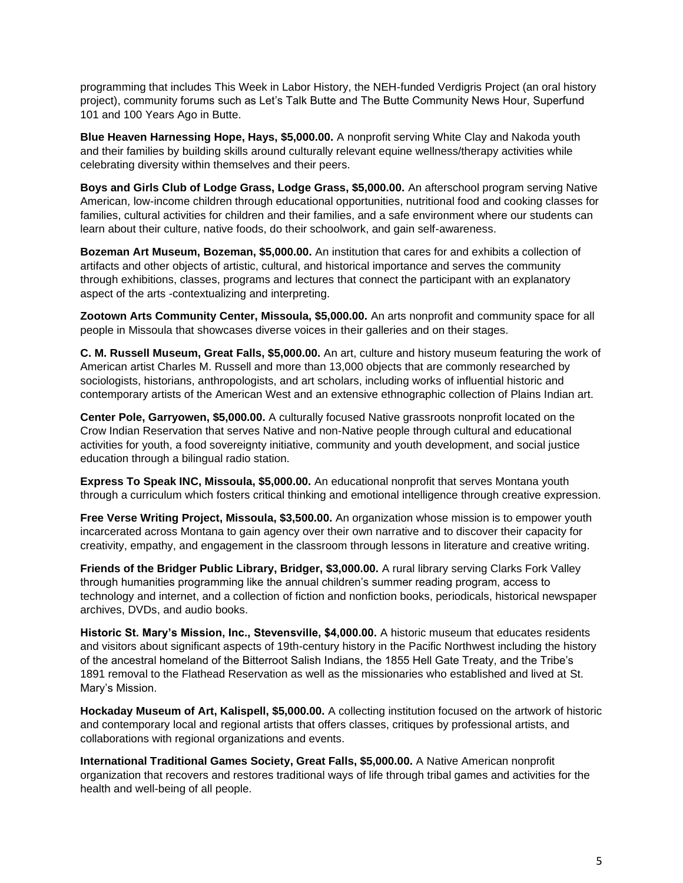programming that includes This Week in Labor History, the NEH-funded Verdigris Project (an oral history project), community forums such as Let's Talk Butte and The Butte Community News Hour, Superfund 101 and 100 Years Ago in Butte.

**Blue Heaven Harnessing Hope, Hays, \$5,000.00.** A nonprofit serving White Clay and Nakoda youth and their families by building skills around culturally relevant equine wellness/therapy activities while celebrating diversity within themselves and their peers.

**Boys and Girls Club of Lodge Grass, Lodge Grass, \$5,000.00.** An afterschool program serving Native American, low-income children through educational opportunities, nutritional food and cooking classes for families, cultural activities for children and their families, and a safe environment where our students can learn about their culture, native foods, do their schoolwork, and gain self-awareness.

**Bozeman Art Museum, Bozeman, \$5,000.00.** An institution that cares for and exhibits a collection of artifacts and other objects of artistic, cultural, and historical importance and serves the community through exhibitions, classes, programs and lectures that connect the participant with an explanatory aspect of the arts -contextualizing and interpreting.

**Zootown Arts Community Center, Missoula, \$5,000.00.** An arts nonprofit and community space for all people in Missoula that showcases diverse voices in their galleries and on their stages.

**C. M. Russell Museum, Great Falls, \$5,000.00.** An art, culture and history museum featuring the work of American artist Charles M. Russell and more than 13,000 objects that are commonly researched by sociologists, historians, anthropologists, and art scholars, including works of influential historic and contemporary artists of the American West and an extensive ethnographic collection of Plains Indian art.

**Center Pole, Garryowen, \$5,000.00.** A culturally focused Native grassroots nonprofit located on the Crow Indian Reservation that serves Native and non-Native people through cultural and educational activities for youth, a food sovereignty initiative, community and youth development, and social justice education through a bilingual radio station.

**Express To Speak INC, Missoula, \$5,000.00.** An educational nonprofit that serves Montana youth through a curriculum which fosters critical thinking and emotional intelligence through creative expression.

**Free Verse Writing Project, Missoula, \$3,500.00.** An organization whose mission is to empower youth incarcerated across Montana to gain agency over their own narrative and to discover their capacity for creativity, empathy, and engagement in the classroom through lessons in literature and creative writing.

**Friends of the Bridger Public Library, Bridger, \$3,000.00.** A rural library serving Clarks Fork Valley through humanities programming like the annual children's summer reading program, access to technology and internet, and a collection of fiction and nonfiction books, periodicals, historical newspaper archives, DVDs, and audio books.

**Historic St. Mary's Mission, Inc., Stevensville, \$4,000.00.** A historic museum that educates residents and visitors about significant aspects of 19th-century history in the Pacific Northwest including the history of the ancestral homeland of the Bitterroot Salish Indians, the 1855 Hell Gate Treaty, and the Tribe's 1891 removal to the Flathead Reservation as well as the missionaries who established and lived at St. Mary's Mission.

**Hockaday Museum of Art, Kalispell, \$5,000.00.** A collecting institution focused on the artwork of historic and contemporary local and regional artists that offers classes, critiques by professional artists, and collaborations with regional organizations and events.

**International Traditional Games Society, Great Falls, \$5,000.00.** A Native American nonprofit organization that recovers and restores traditional ways of life through tribal games and activities for the health and well-being of all people.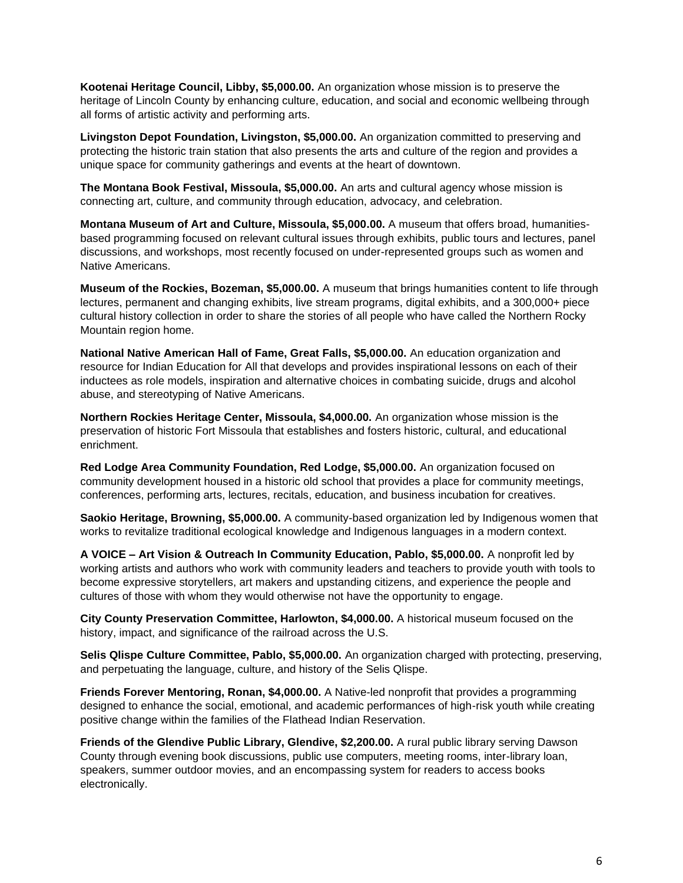**Kootenai Heritage Council, Libby, \$5,000.00.** An organization whose mission is to preserve the heritage of Lincoln County by enhancing culture, education, and social and economic wellbeing through all forms of artistic activity and performing arts.

**Livingston Depot Foundation, Livingston, \$5,000.00.** An organization committed to preserving and protecting the historic train station that also presents the arts and culture of the region and provides a unique space for community gatherings and events at the heart of downtown.

**The Montana Book Festival, Missoula, \$5,000.00.** An arts and cultural agency whose mission is connecting art, culture, and community through education, advocacy, and celebration.

**Montana Museum of Art and Culture, Missoula, \$5,000.00.** A museum that offers broad, humanitiesbased programming focused on relevant cultural issues through exhibits, public tours and lectures, panel discussions, and workshops, most recently focused on under-represented groups such as women and Native Americans.

**Museum of the Rockies, Bozeman, \$5,000.00.** A museum that brings humanities content to life through lectures, permanent and changing exhibits, live stream programs, digital exhibits, and a 300,000+ piece cultural history collection in order to share the stories of all people who have called the Northern Rocky Mountain region home.

**National Native American Hall of Fame, Great Falls, \$5,000.00.** An education organization and resource for Indian Education for All that develops and provides inspirational lessons on each of their inductees as role models, inspiration and alternative choices in combating suicide, drugs and alcohol abuse, and stereotyping of Native Americans.

**Northern Rockies Heritage Center, Missoula, \$4,000.00.** An organization whose mission is the preservation of historic Fort Missoula that establishes and fosters historic, cultural, and educational enrichment.

**Red Lodge Area Community Foundation, Red Lodge, \$5,000.00.** An organization focused on community development housed in a historic old school that provides a place for community meetings, conferences, performing arts, lectures, recitals, education, and business incubation for creatives.

**Saokio Heritage, Browning, \$5,000.00.** A community-based organization led by Indigenous women that works to revitalize traditional ecological knowledge and Indigenous languages in a modern context.

**A VOICE – Art Vision & Outreach In Community Education, Pablo, \$5,000.00.** A nonprofit led by working artists and authors who work with community leaders and teachers to provide youth with tools to become expressive storytellers, art makers and upstanding citizens, and experience the people and cultures of those with whom they would otherwise not have the opportunity to engage.

**City County Preservation Committee, Harlowton, \$4,000.00.** A historical museum focused on the history, impact, and significance of the railroad across the U.S.

**Selis Qlispe Culture Committee, Pablo, \$5,000.00.** An organization charged with protecting, preserving, and perpetuating the language, culture, and history of the Selis Qlispe.

**Friends Forever Mentoring, Ronan, \$4,000.00.** A Native-led nonprofit that provides a programming designed to enhance the social, emotional, and academic performances of high-risk youth while creating positive change within the families of the Flathead Indian Reservation.

**Friends of the Glendive Public Library, Glendive, \$2,200.00.** A rural public library serving Dawson County through evening book discussions, public use computers, meeting rooms, inter-library loan, speakers, summer outdoor movies, and an encompassing system for readers to access books electronically.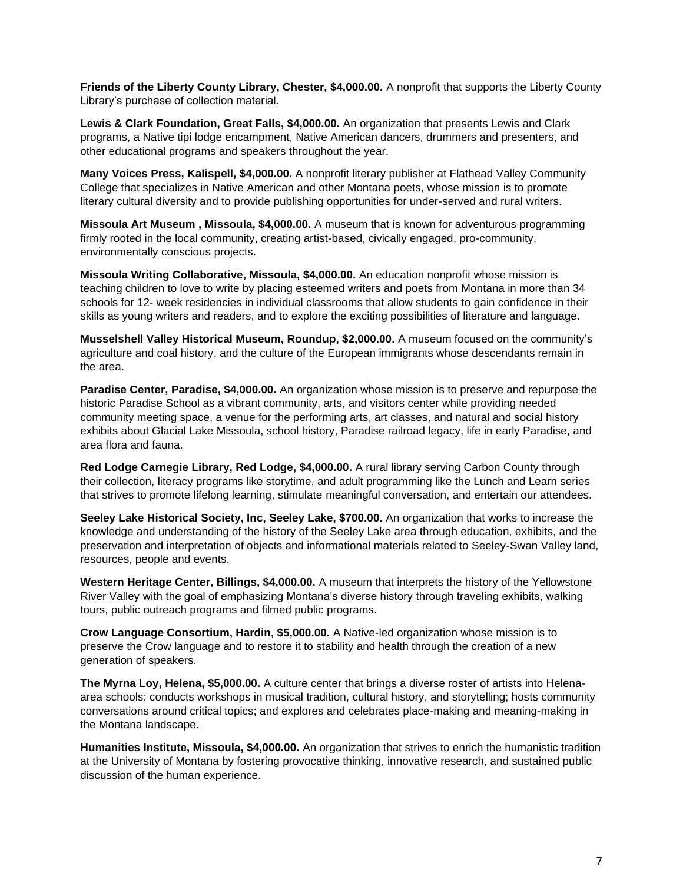**Friends of the Liberty County Library, Chester, \$4,000.00.** A nonprofit that supports the Liberty County Library's purchase of collection material.

**Lewis & Clark Foundation, Great Falls, \$4,000.00.** An organization that presents Lewis and Clark programs, a Native tipi lodge encampment, Native American dancers, drummers and presenters, and other educational programs and speakers throughout the year.

**Many Voices Press, Kalispell, \$4,000.00.** A nonprofit literary publisher at Flathead Valley Community College that specializes in Native American and other Montana poets, whose mission is to promote literary cultural diversity and to provide publishing opportunities for under-served and rural writers.

**Missoula Art Museum , Missoula, \$4,000.00.** A museum that is known for adventurous programming firmly rooted in the local community, creating artist-based, civically engaged, pro-community, environmentally conscious projects.

**Missoula Writing Collaborative, Missoula, \$4,000.00.** An education nonprofit whose mission is teaching children to love to write by placing esteemed writers and poets from Montana in more than 34 schools for 12- week residencies in individual classrooms that allow students to gain confidence in their skills as young writers and readers, and to explore the exciting possibilities of literature and language.

**Musselshell Valley Historical Museum, Roundup, \$2,000.00.** A museum focused on the community's agriculture and coal history, and the culture of the European immigrants whose descendants remain in the area.

**Paradise Center, Paradise, \$4,000.00.** An organization whose mission is to preserve and repurpose the historic Paradise School as a vibrant community, arts, and visitors center while providing needed community meeting space, a venue for the performing arts, art classes, and natural and social history exhibits about Glacial Lake Missoula, school history, Paradise railroad legacy, life in early Paradise, and area flora and fauna.

**Red Lodge Carnegie Library, Red Lodge, \$4,000.00.** A rural library serving Carbon County through their collection, literacy programs like storytime, and adult programming like the Lunch and Learn series that strives to promote lifelong learning, stimulate meaningful conversation, and entertain our attendees.

**Seeley Lake Historical Society, Inc, Seeley Lake, \$700.00.** An organization that works to increase the knowledge and understanding of the history of the Seeley Lake area through education, exhibits, and the preservation and interpretation of objects and informational materials related to Seeley-Swan Valley land, resources, people and events.

**Western Heritage Center, Billings, \$4,000.00.** A museum that interprets the history of the Yellowstone River Valley with the goal of emphasizing Montana's diverse history through traveling exhibits, walking tours, public outreach programs and filmed public programs.

**Crow Language Consortium, Hardin, \$5,000.00.** A Native-led organization whose mission is to preserve the Crow language and to restore it to stability and health through the creation of a new generation of speakers.

**The Myrna Loy, Helena, \$5,000.00.** A culture center that brings a diverse roster of artists into Helenaarea schools; conducts workshops in musical tradition, cultural history, and storytelling; hosts community conversations around critical topics; and explores and celebrates place-making and meaning-making in the Montana landscape.

**Humanities Institute, Missoula, \$4,000.00.** An organization that strives to enrich the humanistic tradition at the University of Montana by fostering provocative thinking, innovative research, and sustained public discussion of the human experience.